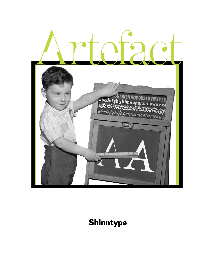

### **Shinntype**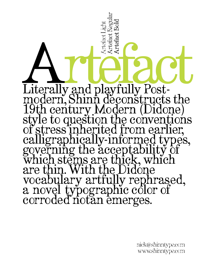

nick@shinntype.com www.shinntype.com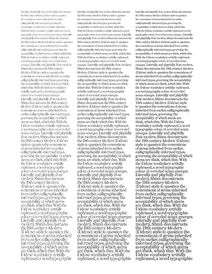Literally and playfully Post-modern, Shinn deconstructs the 19th century Modern (Didone) style to question the conventions of stress inherited from earlier, calligraphically-informed types, governing the acceptability of which stems are thick, which thin. With the Didone vocabulary artfully rephrased, a novel typographic colour of corroded notan emerges. Literally and playfully Post-modern, Shinn deconstructs the 19th century Modern (Didone) style to question the conventions of stress inherited from earlier, calligraphically-informed types, governing the acceptability of which stems are thick, which thin. With the Didone vocabulary artfully rephrased, a novel typographic colour of corroded notan emerges. Literally and playfully Post-modern, Shinn deconstructs the 19th century Modern (Didone) style to question the conventions of stress inherited from earlier, calligraphically-informed types, governing the acceptability of which stems are thick, which thin. With the Didone vocabulary artfully rephrased, a novel typographic colour of corroded notan emerges. Literally and playfully Post-modern, Shinn deconstructs the 19th century Modern (Didone) style to question the conventions of stress inherited from earlier, calligraphically-informed types, governing the acceptability of which stems are thick, which thin. With the Didone vocabulary artfully rephrased, a novel typographic colour of corroded notan emerges. Literally and playfully Post-modern, Shinn deconstructs the 19th century Modern (Didone) style to question the conventions of stress inherited from earlier, calligraphically-informed types, governing the acceptability of which stems are thick, which thin. With the Didone vocabulary artfully rephrased, a novel typographic colour of corroded notan emerges. Literally and playfully Postmodern, Shinn deconstructs the 19th century Modern (Didone) style to question the conventions of stress inherited from earlier, calligraphicallyinformed types, governing the acceptability of which stems are thick, which thin. With the Didone vocabulary artfully rephrased, a novel typographic colour of corroded notan emerges. Literally and playfully Postmodern, Shinn deconstructs the 19th century Modern (Didone) style to question the conventions of stress inherited from earlier, calligraphicallyinformed types, governing the acceptability of which stems are thick, which thin. With the Didone vocabulary artfully rephrased, a novel typographic

Literally and playfully Post-modern, Shinn deconstructs the 19th century Modern (Didone) style to question the conventions of stress inherited from earlier, calligraphically-informed types, governing the acceptability of which stems are thick, which thin. With the Didone vocabulary artfully rephrased, a novel typographic colour of corroded notan emerges. Literally and playfully Post-modern, Shinn deconstructs the 19th century Modern (Didone) style to question the conventions of stress inherited from earlier, calligraphically-informed types, governing the acceptability of which stems are thick, which thin. With the Didone vocabulary artfully rephrased, a novel typographic colour of corroded notan emerges. Literally and playfully Post-modern, Shinn deconstructs the 19th century Modern (Didone) style to question the conventions of stress inherited from earlier, calligraphically-informed types, governing the acceptability of which stems are thick, which thin. With the Didone vocabulary artfully rephrased, a novel typographic colour of corroded notan emerges. Literally and playfully Post-modern, Shinn deconstructs the 19th century Modern (Didone) style to question the conventions of stress inherited from earlier, calligraphically-informed types, governing the acceptability of which stems are thick, which thin. With the Didone vocabulary artfully rephrased, a novel typographic colour of corroded notan emerges. Literally and playfully Post-modern, Shinn deconstructs the 19th century Modern (Didone) style to question the conventions of stress inherited from earlier, calligraphically-informed types, governing the acceptability of which stems are thick, which thin. With the Didone vocabulary artfully rephrased, a novel typographic colour of corroded notan emerges. Literally and playfully Postmodern, Shinn deconstructs the 19th century Modern (Didone) style to question the conventions of stress inherited from earlier, calligraphicallyinformed types, governing the acceptability of which stems are thick, which thin. With the Didone vocabulary artfully rephrased, a novel typographic colour of corroded notan emerges. Literally and playfully Postmodern, Shinn deconstructs the 19th century Modern (Didone) style to question the conventions of stress inherited from earlier, calligraphicallyinformed types, governing the acceptability of which stems are thick, which thin. With the Didone vocabulary artfully rephrased, a novel typographic

**Literally and playfully Post-modern, Shinn deconstructs the 19th century Modern (Didone) style to question the conventions of stress inherited from earlier, calligraphically-informed types, governing the acceptability of which stems are thick, which thin. With the Didone vocabulary artfully rephrased, a novel typographic colour of corroded notan emerges. Literally and playfully Post-modern, Shinn deconstructs the 19th century Modern (Didone) style to question the conventions of stress inherited from earlier, calligraphically-informed types, governing the acceptability of which stems are thick, which thin. With the Didone vocabulary artfully rephrased, a novel typographic colour of corroded notan emerges. Literally and playfully Post-modern, Shinn deconstructs the 19th century Modern (Didone) style to question the conventions of stress inherited from earlier, calligraphicallyinformed types, governing the acceptability of which stems are thick, which thin. With the Didone vocabulary artfully rephrased, a novel typographic colour of corroded notan emerges. Literally and playfully Post-modern, Shinn deconstructs the 19th century Modern (Didone) style to question the conventions of stress inherited from earlier, calligraphicallyinformed types, governing the acceptability of which stems are thick, which thin. With the Didone vocabulary artfully rephrased, a novel typographic colour of corroded notan emerges. Literally and playfully Post-modern, Shinn deconstructs the 19th century Modern (Didone) style to question the conventions of stress inherited from earlier, calligraphically-informed types, governing the acceptability of which stems are thick, which thin. With the Didone vocabulary artfully rephrased, a novel typographic colour of corroded notan emerges. Literally and playfully Postmodern, Shinn deconstructs the 19th century Modern (Didone) style to question the conventions of stress inherited from earlier, calligraphicallyinformed types, governing the acceptability of which stems are thick, which thin. With the Didone vocabulary artfully rephrased, a novel typographic colour of corroded notan emerges. Literally and playfully Postmodern, Shinn deconstructs the 19th century Modern (Didone) style to question the conventions of stress inherited from earlier, calligraphicallyinformed types, governing the acceptability of which stems are thick, which thin. With the Didone vocabulary artfully rephrased, a novel typographic**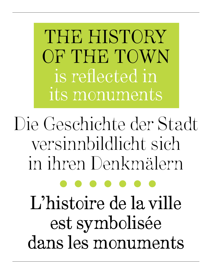THE HISTORY OF THE TOWN is reflected in its monuments

Die Geschichte der Stadt versinnbildlicht sich in ihren Denkmälern

**L'histoire de la ville est symbolisée dans les monuments**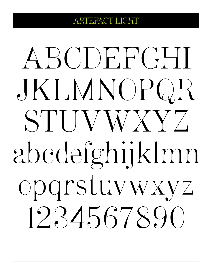#### ARTEFACT LIGHT

# ABCDEFGHI JKLMNOPQR STUVWXYZ abcdefghijklmn opgrstuvwxyz 1234567890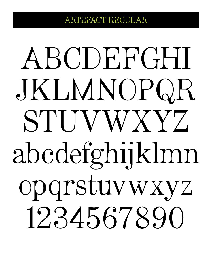RTEFACT REGULAR

# ABCDEFGHI JKLMNOPQR STUVWXYZ abcdefghijklmn opqrstuvwxyz 1234567890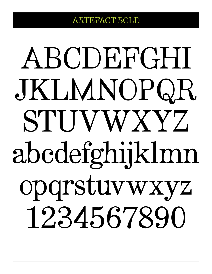**RTEFACT BOLD** 

# ABCDEFGHI JKLMNOPQR STUVWXYZ abcdefghijklmn opqrstuvwxyz 1234567890